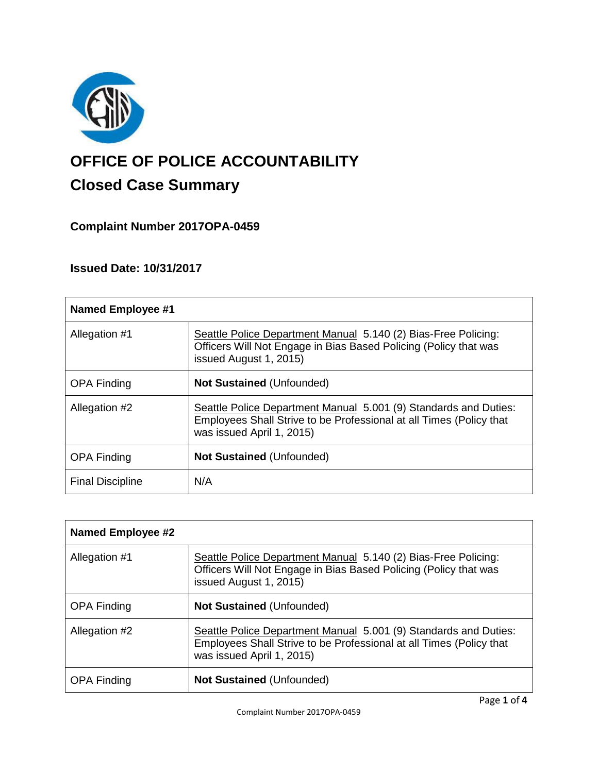

# **OFFICE OF POLICE ACCOUNTABILITY**

# **Closed Case Summary**

## **Complaint Number 2017OPA-0459**

## **Issued Date: 10/31/2017**

| <b>Named Employee #1</b> |                                                                                                                                                                      |
|--------------------------|----------------------------------------------------------------------------------------------------------------------------------------------------------------------|
| Allegation #1            | Seattle Police Department Manual 5.140 (2) Bias-Free Policing:<br>Officers Will Not Engage in Bias Based Policing (Policy that was<br>issued August 1, 2015)         |
| <b>OPA Finding</b>       | <b>Not Sustained (Unfounded)</b>                                                                                                                                     |
| Allegation #2            | Seattle Police Department Manual 5.001 (9) Standards and Duties:<br>Employees Shall Strive to be Professional at all Times (Policy that<br>was issued April 1, 2015) |
| <b>OPA Finding</b>       | <b>Not Sustained (Unfounded)</b>                                                                                                                                     |
| <b>Final Discipline</b>  | N/A                                                                                                                                                                  |

| <b>Named Employee #2</b> |                                                                                                                                                                      |
|--------------------------|----------------------------------------------------------------------------------------------------------------------------------------------------------------------|
| Allegation #1            | Seattle Police Department Manual 5.140 (2) Bias-Free Policing:<br>Officers Will Not Engage in Bias Based Policing (Policy that was<br>issued August 1, 2015)         |
| <b>OPA Finding</b>       | <b>Not Sustained (Unfounded)</b>                                                                                                                                     |
| Allegation #2            | Seattle Police Department Manual 5.001 (9) Standards and Duties:<br>Employees Shall Strive to be Professional at all Times (Policy that<br>was issued April 1, 2015) |
| <b>OPA Finding</b>       | <b>Not Sustained (Unfounded)</b>                                                                                                                                     |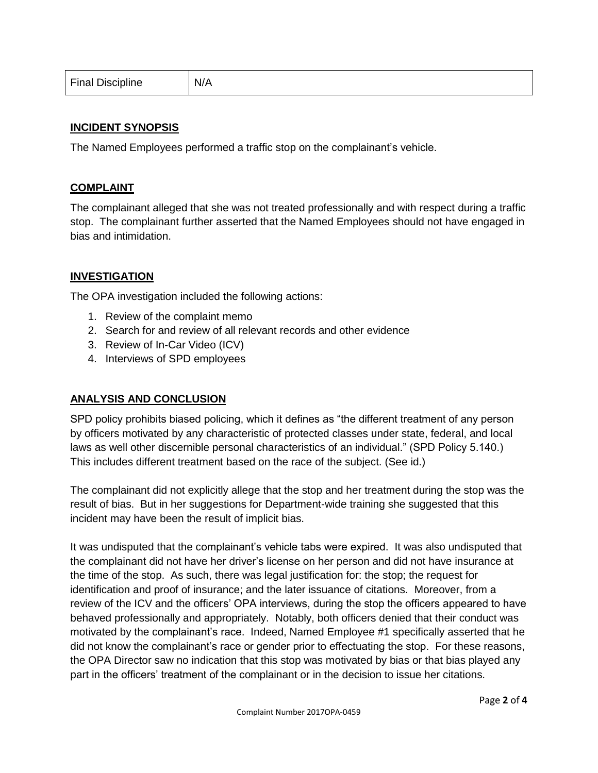#### **INCIDENT SYNOPSIS**

The Named Employees performed a traffic stop on the complainant's vehicle.

#### **COMPLAINT**

The complainant alleged that she was not treated professionally and with respect during a traffic stop. The complainant further asserted that the Named Employees should not have engaged in bias and intimidation.

#### **INVESTIGATION**

The OPA investigation included the following actions:

- 1. Review of the complaint memo
- 2. Search for and review of all relevant records and other evidence
- 3. Review of In-Car Video (ICV)
- 4. Interviews of SPD employees

#### **ANALYSIS AND CONCLUSION**

SPD policy prohibits biased policing, which it defines as "the different treatment of any person by officers motivated by any characteristic of protected classes under state, federal, and local laws as well other discernible personal characteristics of an individual." (SPD Policy 5.140.) This includes different treatment based on the race of the subject. (See id.)

The complainant did not explicitly allege that the stop and her treatment during the stop was the result of bias. But in her suggestions for Department-wide training she suggested that this incident may have been the result of implicit bias.

It was undisputed that the complainant's vehicle tabs were expired. It was also undisputed that the complainant did not have her driver's license on her person and did not have insurance at the time of the stop. As such, there was legal justification for: the stop; the request for identification and proof of insurance; and the later issuance of citations. Moreover, from a review of the ICV and the officers' OPA interviews, during the stop the officers appeared to have behaved professionally and appropriately. Notably, both officers denied that their conduct was motivated by the complainant's race. Indeed, Named Employee #1 specifically asserted that he did not know the complainant's race or gender prior to effectuating the stop. For these reasons, the OPA Director saw no indication that this stop was motivated by bias or that bias played any part in the officers' treatment of the complainant or in the decision to issue her citations.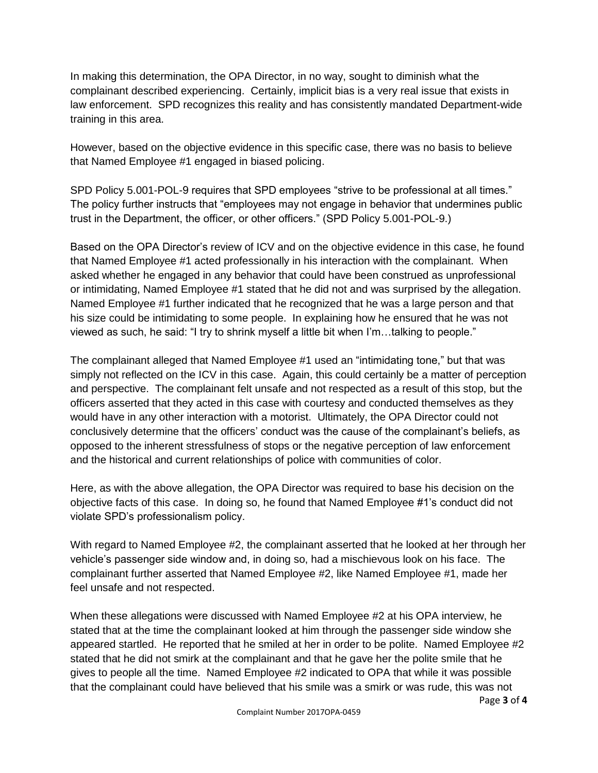In making this determination, the OPA Director, in no way, sought to diminish what the complainant described experiencing. Certainly, implicit bias is a very real issue that exists in law enforcement. SPD recognizes this reality and has consistently mandated Department-wide training in this area.

However, based on the objective evidence in this specific case, there was no basis to believe that Named Employee #1 engaged in biased policing.

SPD Policy 5.001-POL-9 requires that SPD employees "strive to be professional at all times." The policy further instructs that "employees may not engage in behavior that undermines public trust in the Department, the officer, or other officers." (SPD Policy 5.001-POL-9.)

Based on the OPA Director's review of ICV and on the objective evidence in this case, he found that Named Employee #1 acted professionally in his interaction with the complainant. When asked whether he engaged in any behavior that could have been construed as unprofessional or intimidating, Named Employee #1 stated that he did not and was surprised by the allegation. Named Employee #1 further indicated that he recognized that he was a large person and that his size could be intimidating to some people. In explaining how he ensured that he was not viewed as such, he said: "I try to shrink myself a little bit when I'm…talking to people."

The complainant alleged that Named Employee #1 used an "intimidating tone," but that was simply not reflected on the ICV in this case. Again, this could certainly be a matter of perception and perspective. The complainant felt unsafe and not respected as a result of this stop, but the officers asserted that they acted in this case with courtesy and conducted themselves as they would have in any other interaction with a motorist. Ultimately, the OPA Director could not conclusively determine that the officers' conduct was the cause of the complainant's beliefs, as opposed to the inherent stressfulness of stops or the negative perception of law enforcement and the historical and current relationships of police with communities of color.

Here, as with the above allegation, the OPA Director was required to base his decision on the objective facts of this case. In doing so, he found that Named Employee #1's conduct did not violate SPD's professionalism policy.

With regard to Named Employee #2, the complainant asserted that he looked at her through her vehicle's passenger side window and, in doing so, had a mischievous look on his face. The complainant further asserted that Named Employee #2, like Named Employee #1, made her feel unsafe and not respected.

When these allegations were discussed with Named Employee #2 at his OPA interview, he stated that at the time the complainant looked at him through the passenger side window she appeared startled. He reported that he smiled at her in order to be polite. Named Employee #2 stated that he did not smirk at the complainant and that he gave her the polite smile that he gives to people all the time. Named Employee #2 indicated to OPA that while it was possible that the complainant could have believed that his smile was a smirk or was rude, this was not